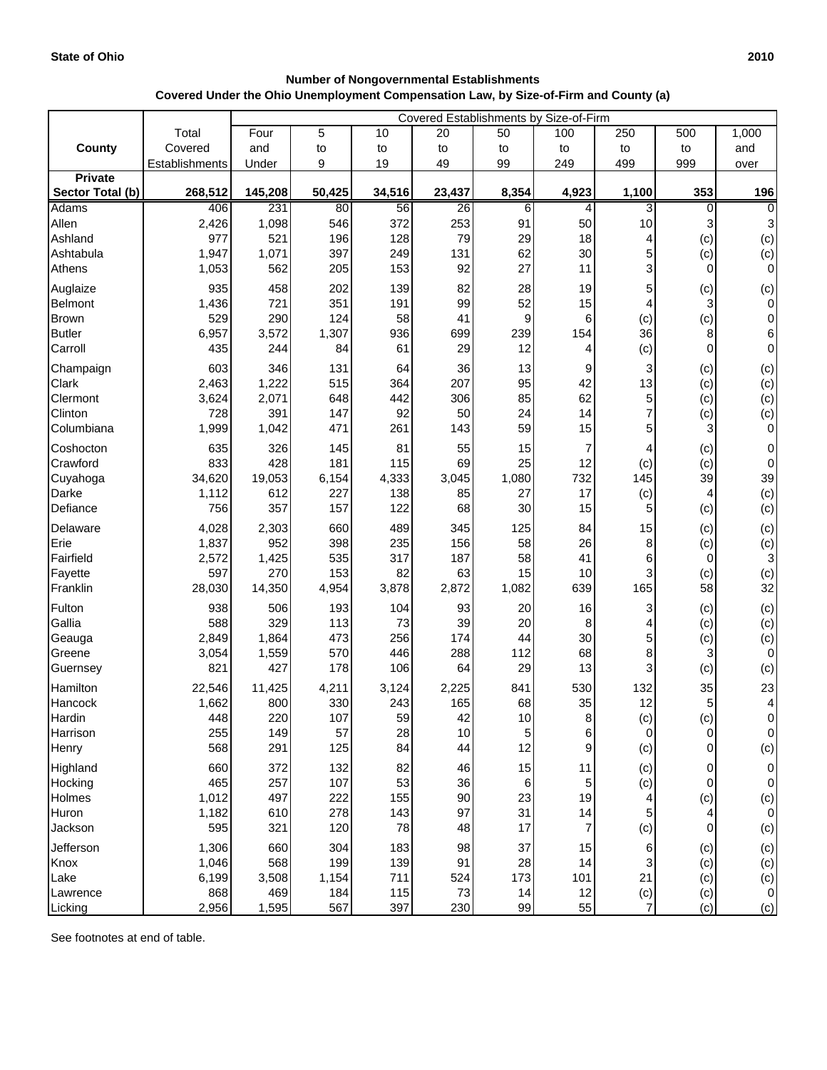| <b>Number of Nongovernmental Establishments</b>                                      |
|--------------------------------------------------------------------------------------|
| Covered Under the Ohio Unemployment Compensation Law, by Size-of-Firm and County (a) |

|                            |                | Covered Establishments by Size-of-Firm |            |                 |           |                |                          |                |                 |                       |
|----------------------------|----------------|----------------------------------------|------------|-----------------|-----------|----------------|--------------------------|----------------|-----------------|-----------------------|
|                            | Total          | Four                                   | 5          | 10              | 20        | 50             | 100                      | 250            | 500             | 1,000                 |
| County                     | Covered        | and                                    | to         | to              | to        | to             | to                       | to             | to              | and                   |
|                            | Establishments | Under                                  | 9          | 19              | 49        | 99             | 249                      | 499            | 999             | over                  |
| <b>Private</b>             |                |                                        |            |                 |           |                |                          |                |                 |                       |
| Sector Total (b)           | 268,512        | 145,208                                | 50,425     | 34,516          | 23,437    | 8,354          | 4,923                    | 1,100          | 353             | 196                   |
| <b>Adams</b>               | 406            | 231                                    | 80         | $\overline{56}$ | 26        | 6              | $\overline{4}$           | 3              | $\Omega$        | $\overline{0}$        |
| Allen                      | 2,426          | 1,098                                  | 546        | 372             | 253       | 91             | 50                       | 10             | 3               | $\mathbf{3}$          |
| Ashland<br>Ashtabula       | 977            | 521<br>1,071                           | 196<br>397 | 128             | 79        | 29<br>62       | 18<br>30                 | 4              | (c)             | (c)                   |
| Athens                     | 1,947<br>1,053 | 562                                    | 205        | 249<br>153      | 131<br>92 | 27             | 11                       | 5<br>3         | (c)<br>$\Omega$ | (c)<br>$\overline{0}$ |
|                            | 935            | 458                                    | 202        | 139             | 82        | 28             |                          |                |                 |                       |
| Auglaize<br><b>Belmont</b> | 1,436          | 721                                    | 351        | 191             | 99        | 52             | 19<br>15                 | 5              | (c)<br>3        | (c)<br>$\overline{O}$ |
| <b>Brown</b>               | 529            | 290                                    | 124        | 58              | 41        | 9              | 6                        | (c)            | (c)             | $\overline{0}$        |
| <b>Butler</b>              | 6,957          | 3,572                                  | 1,307      | 936             | 699       | 239            | 154                      | 36             | 8               | $6 \mid$              |
| Carroll                    | 435            | 244                                    | 84         | 61              | 29        | 12             | 4                        | (c)            | $\overline{0}$  | $\overline{0}$        |
| Champaign                  | 603            | 346                                    | 131        | 64              | 36        | 13             | 9                        | 3              | (c)             | (c)                   |
| Clark                      | 2,463          | 1,222                                  | 515        | 364             | 207       | 95             | 42                       | 13             | (c)             | (c)                   |
| Clermont                   | 3,624          | 2,071                                  | 648        | 442             | 306       | 85             | 62                       | 5              | (c)             | (c)                   |
| Clinton                    | 728            | 391                                    | 147        | 92              | 50        | 24             | 14                       | 7              | (c)             | (c)                   |
| Columbiana                 | 1,999          | 1,042                                  | 471        | 261             | 143       | 59             | 15                       | 5              | 3               | $\overline{0}$        |
| Coshocton                  | 635            | 326                                    | 145        | 81              | 55        | 15             | $\overline{7}$           | 4              | (c)             | $\overline{0}$        |
| Crawford                   | 833            | 428                                    | 181        | 115             | 69        | 25             | 12                       | (c)            | (c)             | $\overline{0}$        |
| Cuyahoga                   | 34,620         | 19,053                                 | 6,154      | 4,333           | 3,045     | 1,080          | 732                      | 145            | 39              | 39                    |
| Darke                      | 1,112          | 612                                    | 227        | 138             | 85        | 27             | 17                       | (c)            | 4               | (c)                   |
| Defiance                   | 756            | 357                                    | 157        | 122             | 68        | 30             | 15                       | 5              | (c)             | (c)                   |
| Delaware                   | 4,028          | 2,303                                  | 660        | 489             | 345       | 125            | 84                       | 15             | (c)             | (c)                   |
| Erie                       | 1,837          | 952                                    | 398        | 235             | 156       | 58             | 26                       | 8              | (c)             | (c)                   |
| Fairfield                  | 2,572          | 1,425                                  | 535        | 317             | 187       | 58             | 41                       | 6              | $\overline{0}$  | $\overline{3}$        |
| Fayette                    | 597            | 270                                    | 153        | 82              | 63        | 15             | 10                       | 3<br>165       | (c)             | (c)<br>32             |
| Franklin                   | 28,030         | 14,350                                 | 4,954      | 3,878           | 2,872     | 1,082          | 639                      |                | 58              |                       |
| Fulton                     | 938            | 506                                    | 193        | 104             | 93        | 20             | 16                       | 3              | (c)             | (c)                   |
| Gallia                     | 588<br>2,849   | 329<br>1,864                           | 113<br>473 | 73<br>256       | 39<br>174 | 20<br>44       | 8<br>30                  | 4<br>5         | (c)             | (c)                   |
| Geauga<br>Greene           | 3,054          | 1,559                                  | 570        | 446             | 288       | 112            | 68                       | 8              | (c)<br>3        | (c)<br>$\overline{0}$ |
| Guernsey                   | 821            | 427                                    | 178        | 106             | 64        | 29             | 13                       | 3              | (c)             | (c)                   |
| Hamilton                   | 22,546         | 11,425                                 | 4,211      | 3,124           | 2,225     | 841            | 530                      | 132            | 35              | 23                    |
| Hancock                    | 1,662          | 800                                    | 330        | 243             | 165       | 68             | 35                       | 12             | 5               | $\overline{4}$        |
| Hardin                     | 448            | 220                                    | 107        | 59              | 42        | 10             | 8 <sup>0</sup>           | (c)            | (c)             | $\overline{0}$        |
| Harrison                   | 255            | 149                                    | 57         | 28              | 10        | $\overline{5}$ | 6                        | $\Omega$       | $\overline{0}$  | $\overline{0}$        |
| Henry                      | 568            | 291                                    | 125        | 84              | 44        | 12             | $\mathsf g$              | (c)            | $\overline{0}$  | (c)                   |
| Highland                   | 660            | 372                                    | 132        | 82              | 46        | 15             | 11                       | (c)            | 0               | $\overline{0}$        |
| Hocking                    | 465            | 257                                    | 107        | 53              | 36        | 6              | $\mathbf 5$              | (c)            | $\overline{0}$  | $\overline{0}$        |
| Holmes                     | 1,012          | 497                                    | 222        | 155             | 90        | 23             | 19                       |                | (c)             | (c)                   |
| Huron                      | 1,182          | 610                                    | 278        | 143             | 97        | 31             | 14                       | 5              | 4               | $\overline{0}$        |
| Jackson                    | 595            | 321                                    | 120        | 78              | 48        | 17             | $\overline{\mathcal{I}}$ | (c)            | $\overline{0}$  | (c)                   |
| Jefferson                  | 1,306          | 660                                    | 304        | 183             | 98        | 37             | 15                       |                | (c)             | (c)                   |
| Knox                       | 1,046          | 568                                    | 199        | 139             | 91        | 28             | 14                       |                | (c)             | (c)                   |
| Lake                       | 6,199          | 3,508                                  | 1,154      | 711             | 524       | 173            | 101                      | 21             | (c)             | (c)                   |
| Lawrence                   | 868            | 469                                    | 184        | 115             | 73        | 14             | 12                       | (c)            | (c)             | $\overline{0}$        |
| Licking                    | 2,956          | 1,595                                  | 567        | 397             | 230       | 99             | 55                       | $\overline{7}$ | (c)             | (c)                   |

See footnotes at end of table.